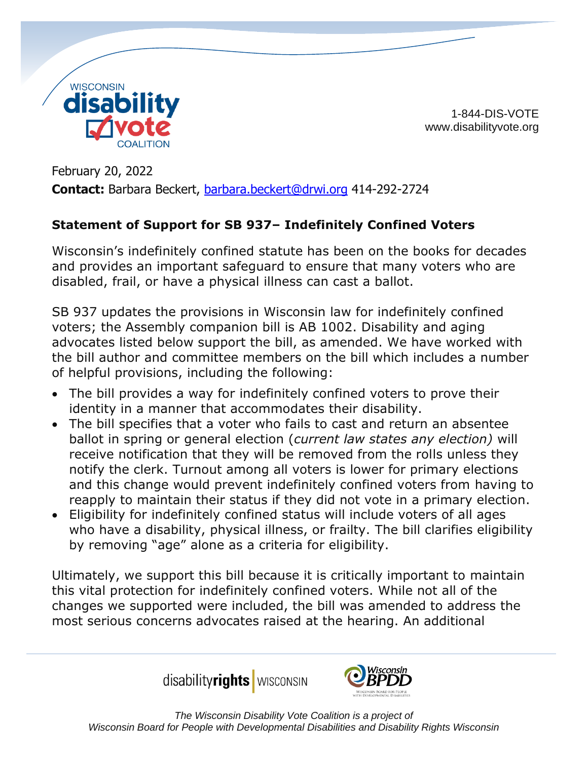

1-844-DIS-VOTE www.disabilityvote.org

February 20, 2022 **Contact:** Barbara Beckert, [barbara.beckert@drwi.org](mailto:barbara.beckert@drwi.org) 414-292-2724

## **Statement of Support for SB 937– Indefinitely Confined Voters**

Wisconsin's indefinitely confined statute has been on the books for decades and provides an important safeguard to ensure that many voters who are disabled, frail, or have a physical illness can cast a ballot.

SB 937 updates the provisions in Wisconsin law for indefinitely confined voters; the Assembly companion bill is AB 1002. Disability and aging advocates listed below support the bill, as amended. We have worked with the bill author and committee members on the bill which includes a number of helpful provisions, including the following:

- The bill provides a way for indefinitely confined voters to prove their identity in a manner that accommodates their disability.
- The bill specifies that a voter who fails to cast and return an absentee ballot in spring or general election (*current law states any election)* will receive notification that they will be removed from the rolls unless they notify the clerk. Turnout among all voters is lower for primary elections and this change would prevent indefinitely confined voters from having to reapply to maintain their status if they did not vote in a primary election.
- Eligibility for indefinitely confined status will include voters of all ages who have a disability, physical illness, or frailty. The bill clarifies eligibility by removing "age" alone as a criteria for eligibility.

Ultimately, we support this bill because it is critically important to maintain this vital protection for indefinitely confined voters. While not all of the changes we supported were included, the bill was amended to address the most serious concerns advocates raised at the hearing. An additional

disabilityrights **WISCONSIN**